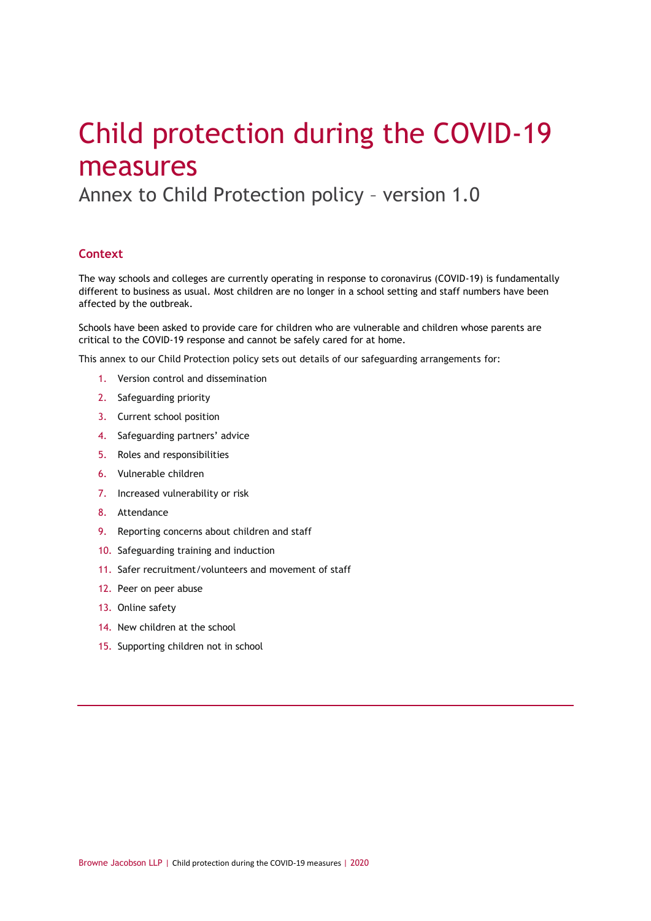# Child protection during the COVID-19 measures

Annex to Child Protection policy – version 1.0

# **Context**

The way schools and colleges are currently operating in response to coronavirus (COVID-19) is fundamentally different to business as usual. Most children are no longer in a school setting and staff numbers have been affected by the outbreak.

Schools have been asked to provide care for children who are vulnerable and children whose parents are critical to the COVID-19 response and cannot be safely cared for at home.

This annex to our Child Protection policy sets out details of our safeguarding arrangements for:

- 1. Version control and dissemination
- 2. Safeguarding priority
- 3. Current school position
- 4. Safeguarding partners' advice
- 5. Roles and responsibilities
- 6. Vulnerable children
- 7. Increased vulnerability or risk
- 8. Attendance
- 9. Reporting concerns about children and staff
- 10. Safeguarding training and induction
- 11. Safer recruitment/volunteers and movement of staff
- 12. Peer on peer abuse
- 13. Online safety
- 14. New children at the school
- 15. Supporting children not in school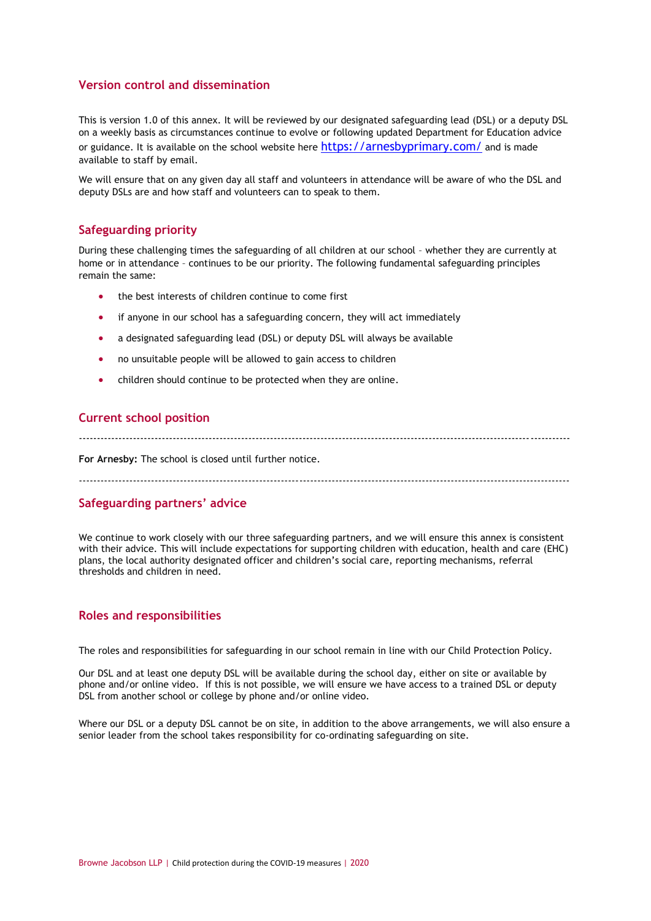# **Version control and dissemination**

This is version 1.0 of this annex. It will be reviewed by our designated safeguarding lead (DSL) or a deputy DSL on a weekly basis as circumstances continue to evolve or following updated Department for Education advice or guidance. It is available on the school website here <https://arnesbyprimary.com/> and is made available to staff by email.

We will ensure that on any given day all staff and volunteers in attendance will be aware of who the DSL and deputy DSLs are and how staff and volunteers can to speak to them.

# **Safeguarding priority**

During these challenging times the safeguarding of all children at our school – whether they are currently at home or in attendance – continues to be our priority. The following fundamental safeguarding principles remain the same:

- the best interests of children continue to come first
- if anyone in our school has a safeguarding concern, they will act immediately
- a designated safeguarding lead (DSL) or deputy DSL will always be available
- no unsuitable people will be allowed to gain access to children
- children should continue to be protected when they are online.

#### **Current school position**

----------------------------------------------------------------------------------------------------------------------------------------

**For Arnesby:** The school is closed until further notice.

----------------------------------------------------------------------------------------------------------------------------------------

# **Safeguarding partners' advice**

We continue to work closely with our three safeguarding partners, and we will ensure this annex is consistent with their advice. This will include expectations for supporting children with education, health and care (EHC) plans, the local authority designated officer and children's social care, reporting mechanisms, referral thresholds and children in need.

# **Roles and responsibilities**

The roles and responsibilities for safeguarding in our school remain in line with our Child Protection Policy.

Our DSL and at least one deputy DSL will be available during the school day, either on site or available by phone and/or online video. If this is not possible, we will ensure we have access to a trained DSL or deputy DSL from another school or college by phone and/or online video.

Where our DSL or a deputy DSL cannot be on site, in addition to the above arrangements, we will also ensure a senior leader from the school takes responsibility for co-ordinating safeguarding on site.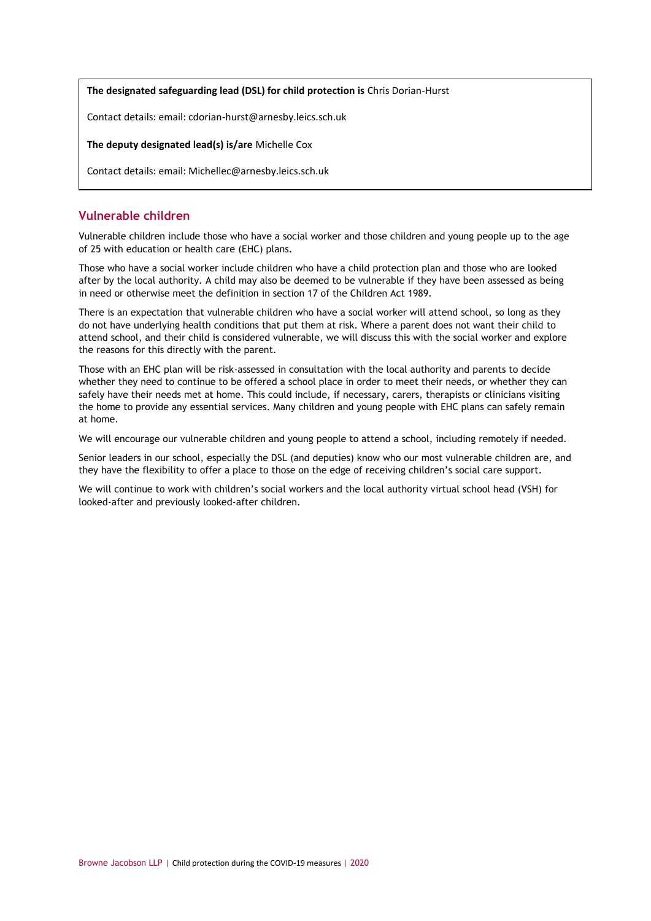#### **The designated safeguarding lead (DSL) for child protection is** Chris Dorian-Hurst

Contact details: email: cdorian-hurst@arnesby.leics.sch.uk

# **The deputy designated lead(s) is/are** Michelle Cox

Contact details: email: Michellec@arnesby.leics.sch.uk

# **Vulnerable children**

Vulnerable children include those who have a social worker and those children and young people up to the age of 25 with education or health care (EHC) plans.

Those who have a social worker include children who have a child protection plan and those who are looked after by the local authority. A child may also be deemed to be vulnerable if they have been assessed as being in need or otherwise meet the definition in section 17 of the Children Act 1989.

There is an expectation that vulnerable children who have a social worker will attend school, so long as they do not have underlying health conditions that put them at risk. Where a parent does not want their child to attend school, and their child is considered vulnerable, we will discuss this with the social worker and explore the reasons for this directly with the parent.

Those with an EHC plan will be risk-assessed in consultation with the local authority and parents to decide whether they need to continue to be offered a school place in order to meet their needs, or whether they can safely have their needs met at home. This could include, if necessary, carers, therapists or clinicians visiting the home to provide any essential services. Many children and young people with EHC plans can safely remain at home.

We will encourage our vulnerable children and young people to attend a school, including remotely if needed.

Senior leaders in our school, especially the DSL (and deputies) know who our most vulnerable children are, and they have the flexibility to offer a place to those on the edge of receiving children's social care support.

We will continue to work with children's social workers and the local authority virtual school head (VSH) for looked-after and previously looked-after children.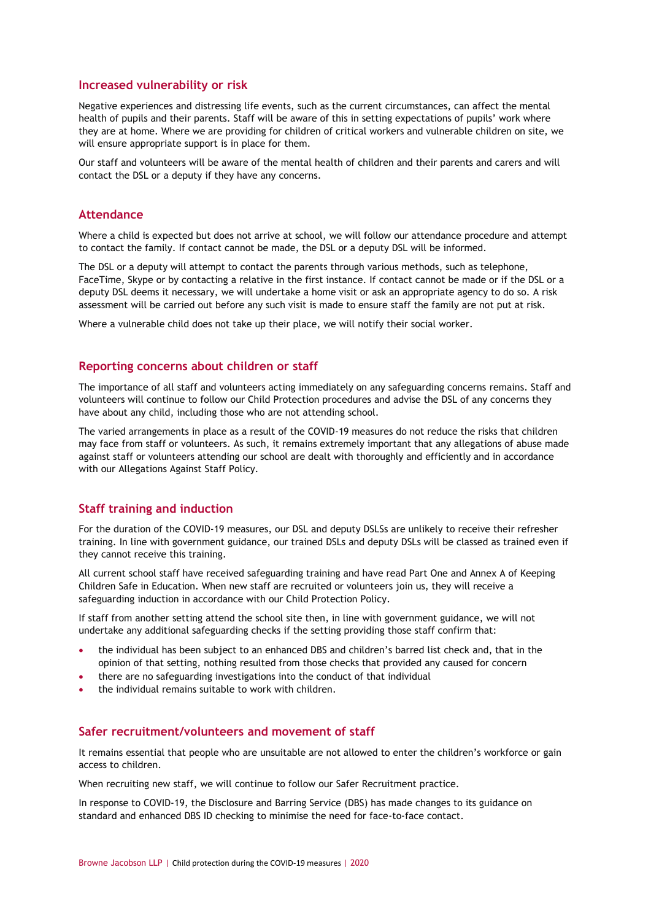#### **Increased vulnerability or risk**

Negative experiences and distressing life events, such as the current circumstances, can affect the mental health of pupils and their parents. Staff will be aware of this in setting expectations of pupils' work where they are at home. Where we are providing for children of critical workers and vulnerable children on site, we will ensure appropriate support is in place for them.

Our staff and volunteers will be aware of the mental health of [children](https://safeguarding.network/safeguarding-resources/specific-risks-children-additional-needs/mental-health/) and their [parents and carers](https://safeguarding.network/safeguarding-resources/parental-issues/parental-mental-ill-health/) and will contact the DSL or a deputy if they have any concerns.

#### **Attendance**

Where a child is expected but does not arrive at school, we will follow our attendance procedure and attempt to contact the family. If contact cannot be made, the DSL or a deputy DSL will be informed.

The DSL or a deputy will attempt to contact the parents through various methods, such as telephone, FaceTime, Skype or by contacting a relative in the first instance. If contact cannot be made or if the DSL or a deputy DSL deems it necessary, we will undertake a home visit or ask an appropriate agency to do so. A risk assessment will be carried out before any such visit is made to ensure staff the family are not put at risk.

Where a vulnerable child does not take up their place, we will notify their social worker.

#### **Reporting concerns about children or staff**

The importance of all staff and volunteers acting immediately on any safeguarding concerns remains. Staff and volunteers will continue to follow our Child Protection procedures and advise the DSL of any concerns they have about any child, including those who are not attending school.

The varied arrangements in place as a result of the COVID-19 measures do not reduce the risks that children may face from staff or volunteers. As such, it remains extremely important that any allegations of abuse made against staff or volunteers attending our school are dealt with thoroughly and efficiently and in accordance with our Allegations Against Staff Policy.

#### **Staff training and induction**

For the duration of the COVID-19 measures, our DSL and deputy DSLSs are unlikely to receive their refresher training. In line with government guidance, our trained DSLs and deputy DSLs will be classed as trained even if they cannot receive this training.

All current school staff have received safeguarding training and have read Part One and Annex A of Keeping Children Safe in Education. When new staff are recruited or volunteers join us, they will receive a safeguarding induction in accordance with our Child Protection Policy.

If staff from another setting attend the school site then, in line with government guidance, we will not undertake any additional safeguarding checks if the setting providing those staff confirm that:

- the individual has been subject to an enhanced DBS and children's barred list check and, that in the opinion of that setting, nothing resulted from those checks that provided any caused for concern
- there are no safeguarding investigations into the conduct of that individual
- the individual remains suitable to work with children.

# **Safer recruitment/volunteers and movement of staff**

It remains essential that people who are unsuitable are not allowed to enter the children's workforce or gain access to children.

When recruiting new staff, we will continue to follow our Safer Recruitment practice.

In response to COVID-19, the Disclosure and Barring Service (DBS) has made changes to its guidance on standard and enhanced DBS ID checking to minimise the need for face-to-face contact.